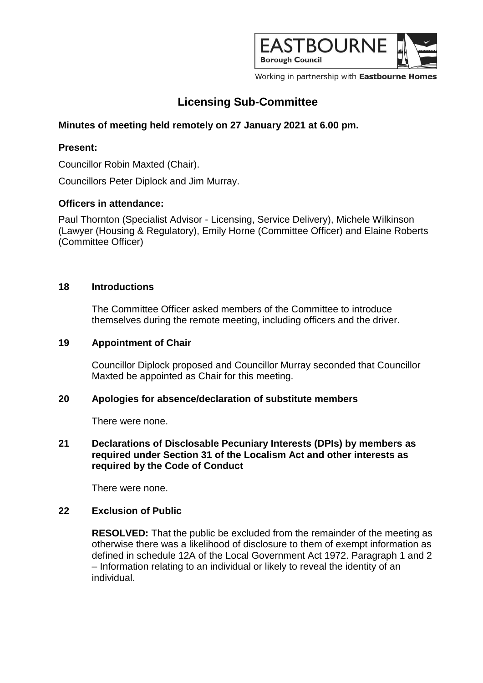

Working in partnership with Eastbourne Homes

# **Licensing Sub-Committee**

# **Minutes of meeting held remotely on 27 January 2021 at 6.00 pm.**

## **Present:**

Councillor Robin Maxted (Chair).

Councillors Peter Diplock and Jim Murray.

## **Officers in attendance:**

Paul Thornton (Specialist Advisor - Licensing, Service Delivery), Michele Wilkinson (Lawyer (Housing & Regulatory), Emily Horne (Committee Officer) and Elaine Roberts (Committee Officer)

### **18 Introductions**

The Committee Officer asked members of the Committee to introduce themselves during the remote meeting, including officers and the driver.

#### **19 Appointment of Chair**

Councillor Diplock proposed and Councillor Murray seconded that Councillor Maxted be appointed as Chair for this meeting.

#### **20 Apologies for absence/declaration of substitute members**

There were none.

### **21 Declarations of Disclosable Pecuniary Interests (DPIs) by members as required under Section 31 of the Localism Act and other interests as required by the Code of Conduct**

There were none.

## **22 Exclusion of Public**

**RESOLVED:** That the public be excluded from the remainder of the meeting as otherwise there was a likelihood of disclosure to them of exempt information as defined in schedule 12A of the Local Government Act 1972. Paragraph 1 and 2 – Information relating to an individual or likely to reveal the identity of an individual.